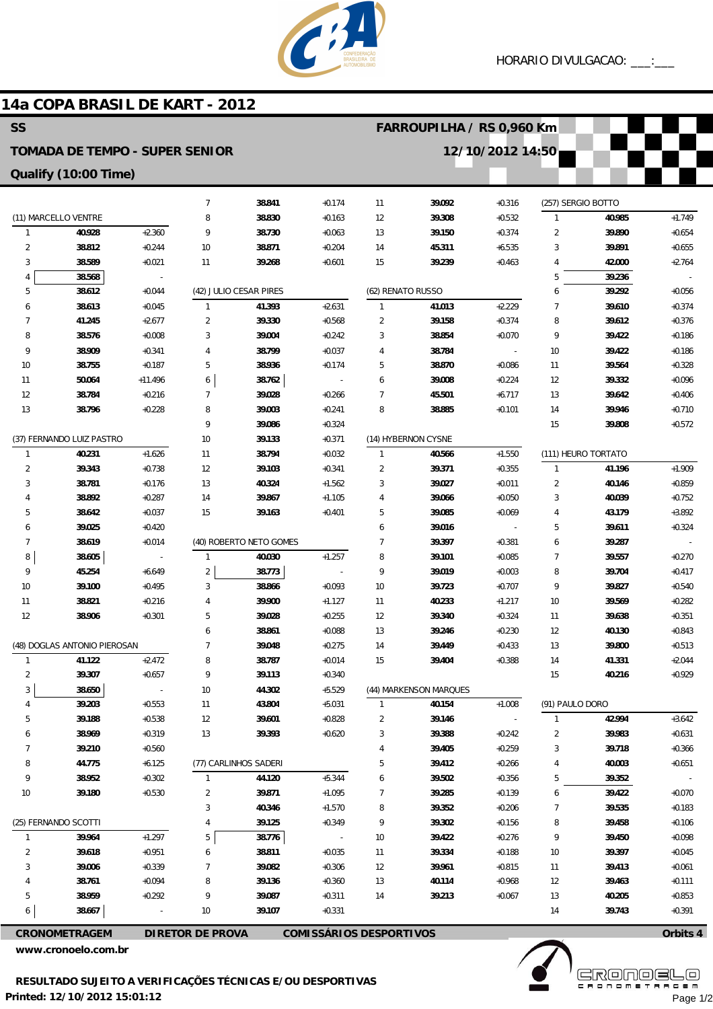

## **14a COPA BRASIL DE KART - 2012**

| <b>SS</b><br>FARROUPILHA / RS 0,960 Km                    |                              |                     |                                |                         |                                      |                   |                        |                          |                     |                     |                      |
|-----------------------------------------------------------|------------------------------|---------------------|--------------------------------|-------------------------|--------------------------------------|-------------------|------------------------|--------------------------|---------------------|---------------------|----------------------|
| 12/10/2012 14:50<br><b>TOMADA DE TEMPO - SUPER SENIOR</b> |                              |                     |                                |                         |                                      |                   |                        |                          |                     |                     |                      |
| Qualify (10:00 Time)                                      |                              |                     |                                |                         |                                      |                   |                        |                          |                     |                     |                      |
|                                                           |                              |                     | $\overline{7}$                 | 38.841                  | $+0.174$                             | 11                | 39.092                 | $+0.316$                 | (257) SERGIO BOTTO  |                     |                      |
|                                                           | (11) MARCELLO VENTRE         |                     | 8                              | 38.830                  | $+0.163$                             | 12                | 39.308                 | $+0.532$                 | $\mathbf{1}$        | 40.985              | $+1.749$             |
| $\mathbf{1}$                                              | 40.928                       | $+2.360$            | 9                              | 38.730                  | $+0.063$                             | 13                | 39.150                 | $+0.374$                 | 2                   | 39.890              | $+0.654$             |
| 2                                                         | 38.812                       | $+0.244$            | 10                             | 38.871                  | $+0.204$                             | 14                | 45.311                 | $+6.535$                 | 3                   | 39.891              | $+0.655$             |
| 3                                                         | 38.589                       | $+0.021$            | 11                             | 39.268                  | $+0.601$                             | 15                | 39.239                 | $+0.463$                 | 4                   | 42.000              | $+2.764$             |
| 4                                                         | 38.568                       |                     |                                |                         |                                      |                   |                        |                          | 5                   | 39.236              |                      |
| 5                                                         | 38.612                       | $+0.044$            |                                | (42) JULIO CESAR PIRES  |                                      | (62) RENATO RUSSO |                        |                          | 6                   | 39.292              | $+0.056$             |
| 6                                                         | 38.613                       | $+0.045$            | $\mathbf{1}$                   | 41.393                  | $+2.631$                             | $\mathbf{1}$      | 41.013                 | $+2.229$                 | $\overline{7}$      | 39.610              | $+0.374$             |
| 7                                                         | 41.245                       | $+2.677$            | $\overline{2}$                 | 39.330                  | $+0.568$                             | 2                 | 39.158                 | $+0.374$                 | 8                   | 39.612              | $+0.376$             |
| 8                                                         | 38.576                       | $+0.008$            | 3                              | 39.004                  | $+0.242$                             | 3                 | 38.854                 | $+0.070$                 | 9                   | 39.422              | $+0.186$             |
| 9                                                         | 38.909                       | $+0.341$            | 4                              | 38.799                  | $+0.037$                             | 4                 | 38.784                 |                          | 10                  | 39.422              | $+0.186$             |
| 10                                                        | 38.755                       | $+0.187$            | 5                              | 38.936                  | $+0.174$                             | 5                 | 38.870                 | $+0.086$                 | 11                  | 39.564              | $+0.328$             |
| 11                                                        | 50.064                       | $+11.496$           | 6                              | 38.762                  |                                      | 6                 | 39.008                 | $+0.224$                 | 12                  | 39.332              | $+0.096$             |
| 12                                                        | 38.784                       | $+0.216$            | 7                              | 39.028                  | $+0.266$                             | $\overline{7}$    | 45.501                 | $+6.717$                 | 13                  | 39.642              | $+0.406$             |
| 13                                                        | 38.796                       | $+0.228$            | 8                              | 39.003                  | $+0.241$                             | 8                 | 38.885                 | $+0.101$                 | 14                  | 39.946              | $+0.710$             |
|                                                           |                              |                     | 9                              | 39.086                  | $+0.324$                             |                   |                        |                          | 15                  | 39.808              | $+0.572$             |
|                                                           | (37) FERNANDO LUIZ PASTRO    |                     | 10                             | 39.133                  | $+0.371$                             |                   | (14) HYBERNON CYSNE    |                          |                     |                     |                      |
| $\mathbf{1}$                                              | 40.231                       | $+1.626$            | 11                             | 38.794                  | $+0.032$                             | $\mathbf{1}$      | 40.566                 | $+1.550$                 |                     | (111) HEURO TORTATO |                      |
| $\overline{2}$                                            | 39.343                       | $+0.738$            | 12                             | 39.103                  | $+0.341$                             | $\overline{2}$    | 39.371                 | $+0.355$                 | $\mathbf{1}$        | 41.196              | $+1.909$             |
| 3                                                         | 38.781                       | $+0.176$            | 13                             | 40.324                  | $+1.562$                             | 3                 | 39.027                 | $+0.011$                 | 2                   | 40.146              | $+0.859$             |
| 4                                                         | 38.892                       | $+0.287$            | 14                             | 39.867                  | $+1.105$                             | 4                 | 39.066                 | $+0.050$                 | 3                   | 40.039              | $+0.752$             |
| 5                                                         | 38.642                       | $+0.037$            | 15                             | 39.163                  | $+0.401$                             | 5                 | 39.085                 | $+0.069$                 | 4                   | 43.179              | $+3.892$             |
| 6                                                         | 39.025                       | $+0.420$            |                                |                         |                                      | 6                 | 39.016                 |                          | 5                   | 39.611              | $+0.324$             |
| 7<br>8                                                    | 38.619                       | $+0.014$            |                                | (40) ROBERTO NETO GOMES |                                      | 7                 | 39.397                 | $+0.381$                 | 6                   | 39.287              |                      |
| 9                                                         | 38.605<br>45.254             | $+6.649$            | $\mathbf{1}$<br>$\overline{2}$ | 40.030<br>38.773        | $+1.257$<br>$\overline{\phantom{a}}$ | 8<br>9            | 39.101<br>39.019       | $+0.085$<br>$+0.003$     | $\overline{7}$<br>8 | 39.557<br>39.704    | $+0.270$<br>$+0.417$ |
|                                                           | 39.100                       | $+0.495$            | 3                              | 38.866                  | $+0.093$                             | 10                | 39.723                 | $+0.707$                 | 9                   | 39.827              | $+0.540$             |
| 10<br>11                                                  | 38.821                       | $+0.216$            | $\overline{4}$                 | 39.900                  | $+1.127$                             | 11                | 40.233                 | $+1.217$                 | 10                  | 39.569              | $+0.282$             |
| 12                                                        | 38.906                       | $+0.301$            | 5                              | 39.028                  | $+0.255$                             | 12                | 39.340                 | $+0.324$                 | 11                  | 39.638              | $+0.351$             |
|                                                           |                              |                     | 6                              | 38.861                  | $+0.088$                             | 13                | 39.246                 | $+0.230$                 | 12                  | 40.130              | $+0.843$             |
|                                                           | (48) DOGLAS ANTONIO PIEROSAN |                     | $\overline{7}$                 | 39.048                  | $+0.275$                             | 14                | 39.449                 | $+0.433$                 | 13                  | 39.800              | $+0.513$             |
| 1                                                         | 41.122                       | $+2.472$            | 8                              | 38.787                  | $+0.014$                             | 15                | 39.404                 | $+0.388$                 | 14                  | 41.331              | $+2.044$             |
| 2                                                         | 39.307                       | $+0.657$            | 9                              | 39.113                  | $+0.340$                             |                   |                        |                          | 15                  | 40.216              | $+0.929$             |
| 3                                                         | 38.650                       | $\bar{\phantom{a}}$ | 10                             | 44.302                  | $+5.529$                             |                   | (44) MARKENSON MARQUES |                          |                     |                     |                      |
| 4                                                         | 39.203                       | $+0.553$            | 11                             | 43.804                  | $+5.031$                             | $\mathbf{1}$      | 40.154                 | $+1.008$                 | (91) PAULO DORO     |                     |                      |
| 5                                                         | 39.188                       | $+0.538$            | 12                             | 39.601                  | $+0.828$                             | 2                 | 39.146                 | $\overline{\phantom{a}}$ | $\mathbf{1}$        | 42.994              | $+3.642$             |
| 6                                                         | 38.969                       | $+0.319$            | 13                             | 39.393                  | $+0.620$                             | 3                 | 39.388                 | $+0.242$                 | $\overline{2}$      | 39.983              | $+0.631$             |
| 7                                                         | 39.210                       | $+0.560$            |                                |                         |                                      | 4                 | 39.405                 | $+0.259$                 | 3                   | 39.718              | $+0.366$             |
| 8                                                         | 44.775                       | $+6.125$            |                                | (77) CARLINHOS SADERI   |                                      | 5                 | 39.412                 | $+0.266$                 | 4                   | 40.003              | $+0.651$             |
| 9                                                         | 38.952                       | $+0.302$            | 1                              | 44.120                  | $+5.344$                             | 6                 | 39.502                 | $+0.356$                 | 5                   | 39.352              |                      |
| 10                                                        | 39.180                       | $+0.530$            | 2                              | 39.871                  | $+1.095$                             | 7                 | 39.285                 | $+0.139$                 | 6                   | 39.422              | $+0.070$             |
|                                                           |                              |                     | 3                              | 40.346                  | $+1.570$                             | 8                 | 39.352                 | $+0.206$                 | 7                   | 39.535              | $+0.183$             |
|                                                           | (25) FERNANDO SCOTTI         |                     | 4                              | 39.125                  | $+0.349$                             | 9                 | 39.302                 | $+0.156$                 | 8                   | 39.458              | $+0.106$             |
| $\mathbf{1}$                                              | 39.964                       | $+1.297$            | 5                              | 38.776                  | $\sim$                               | 10                | 39.422                 | $+0.276$                 | 9                   | 39.450              | $+0.098$             |
| 2                                                         | 39.618                       | $+0.951$            | 6                              | 38.811                  | $+0.035$                             | 11                | 39.334                 | $+0.188$                 | 10                  | 39.397              | $+0.045$             |
| 3                                                         | 39.006                       | $+0.339$            | 7                              | 39.082                  | $+0.306$                             | 12                | 39.961                 | $+0.815$                 | 11                  | 39.413              | $+0.061$             |
| 4                                                         | 38.761                       | $+0.094$            | 8                              | 39.136                  | $+0.360$                             | 13                | 40.114                 | $+0.968$                 | 12                  | 39.463              | $+0.111$             |
| 5                                                         | 38.959                       | $+0.292$            | 9                              | 39.087                  | $+0.311$                             | 14                | 39.213                 | $+0.067$                 | 13                  | 40.205              | $+0.853$             |
| 6                                                         | 38.667                       |                     | 10                             | 39.107                  | $+0.331$                             |                   |                        |                          | 14                  | 39.743              | $+0.391$             |
|                                                           | CRONOMETRAGEM                |                     | <b>DIRETOR DE PROVA</b>        |                         | <b>COMISSÁRIOS DESPORTIVOS</b>       |                   |                        |                          |                     |                     | Orbits 4             |

**www.cronoelo.com.br**